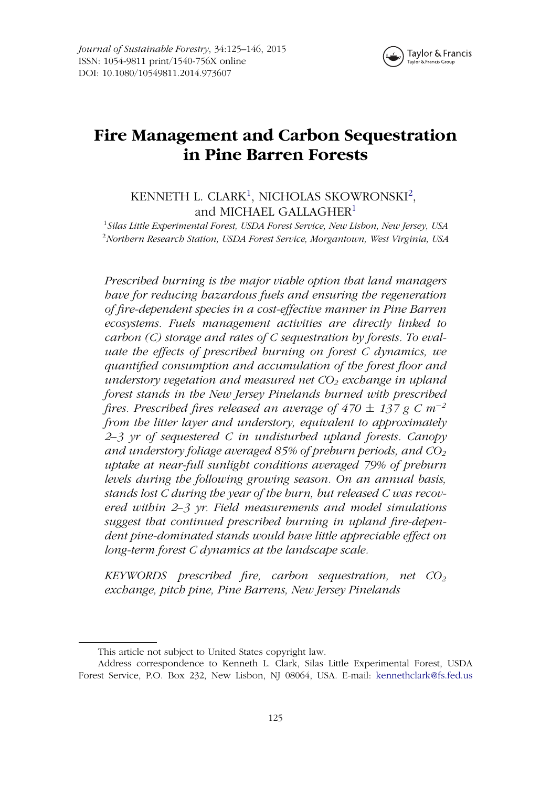

# **Fire Management and Carbon Sequestration in Pine Barren Forests**

<span id="page-0-0"></span>KENNETH L. CLARK<sup>[1](#page-0-0)</sup>, NICHOLAS SKOWRONSKI<sup>[2](#page-0-0)</sup>, and MICHAEL GALLAGHER<sup>1</sup>

<sup>1</sup>*Silas Little Experimental Forest, USDA Forest Service, New Lisbon, New Jersey, USA* <sup>2</sup>*Northern Research Station, USDA Forest Service, Morgantown, West Virginia, USA*

*Prescribed burning is the major viable option that land managers have for reducing hazardous fuels and ensuring the regeneration of fire-dependent species in a cost-effective manner in Pine Barren ecosystems. Fuels management activities are directly linked to carbon (C) storage and rates of C sequestration by forests. To evaluate the effects of prescribed burning on forest C dynamics, we quantified consumption and accumulation of the forest floor and understory vegetation and measured net CO<sub>2</sub> exchange in upland forest stands in the New Jersey Pinelands burned with prescribed fires. Prescribed fires released an average of 470* ± *137 g C m*−*<sup>2</sup> from the litter layer and understory, equivalent to approximately 2–3 yr of sequestered C in undisturbed upland forests. Canopy and understory foliage averaged 85% of preburn periods, and CO2 uptake at near-full sunlight conditions averaged 79% of preburn levels during the following growing season. On an annual basis, stands lost C during the year of the burn, but released C was recovered within 2–3 yr. Field measurements and model simulations suggest that continued prescribed burning in upland fire-dependent pine-dominated stands would have little appreciable effect on long-term forest C dynamics at the landscape scale.*

*KEYWORDS prescribed fire, carbon sequestration, net CO2 exchange, pitch pine, Pine Barrens, New Jersey Pinelands*

This article not subject to United States copyright law.

Address correspondence to Kenneth L. Clark, Silas Little Experimental Forest, USDA Forest Service, P.O. Box 232, New Lisbon, NJ 08064, USA. E-mail: [kennethclark@fs.fed.us](mailto:kennethclark@fs.fed.us)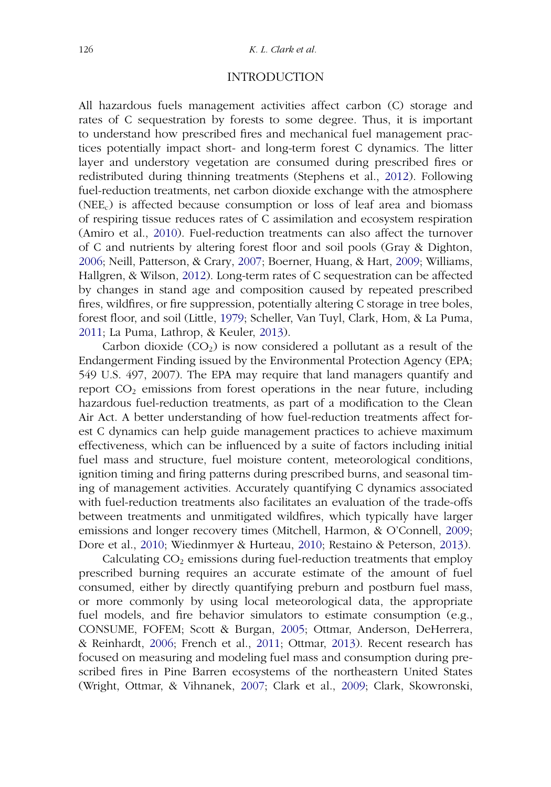#### INTRODUCTION

All hazardous fuels management activities affect carbon (C) storage and rates of C sequestration by forests to some degree. Thus, it is important to understand how prescribed fires and mechanical fuel management practices potentially impact short- and long-term forest C dynamics. The litter layer and understory vegetation are consumed during prescribed fires or redistributed during thinning treatments (Stephens et al., [2012\)](#page-21-0). Following fuel-reduction treatments, net carbon dioxide exchange with the atmosphere  $(NEE<sub>c</sub>)$  is affected because consumption or loss of leaf area and biomass of respiring tissue reduces rates of C assimilation and ecosystem respiration (Amiro et al., [2010\)](#page-18-0). Fuel-reduction treatments can also affect the turnover of C and nutrients by altering forest floor and soil pools (Gray & Dighton, [2006;](#page-19-0) Neill, Patterson, & Crary, [2007;](#page-20-0) Boerner, Huang, & Hart, [2009;](#page-18-1) Williams, Hallgren, & Wilson, [2012\)](#page-21-1). Long-term rates of C sequestration can be affected by changes in stand age and composition caused by repeated prescribed fires, wildfires, or fire suppression, potentially altering C storage in tree boles, forest floor, and soil (Little, [1979;](#page-19-1) Scheller, Van Tuyl, Clark, Hom, & La Puma, [2011;](#page-21-2) La Puma, Lathrop, & Keuler, [2013\)](#page-19-2).

Carbon dioxide  $(CO_2)$  is now considered a pollutant as a result of the Endangerment Finding issued by the Environmental Protection Agency (EPA; 549 U.S. 497, 2007). The EPA may require that land managers quantify and report  $CO<sub>2</sub>$  emissions from forest operations in the near future, including hazardous fuel-reduction treatments, as part of a modification to the Clean Air Act. A better understanding of how fuel-reduction treatments affect forest C dynamics can help guide management practices to achieve maximum effectiveness, which can be influenced by a suite of factors including initial fuel mass and structure, fuel moisture content, meteorological conditions, ignition timing and firing patterns during prescribed burns, and seasonal timing of management activities. Accurately quantifying C dynamics associated with fuel-reduction treatments also facilitates an evaluation of the trade-offs between treatments and unmitigated wildfires, which typically have larger emissions and longer recovery times (Mitchell, Harmon, & O'Connell, [2009;](#page-20-1) Dore et al., [2010;](#page-19-3) Wiedinmyer & Hurteau, [2010;](#page-21-3) Restaino & Peterson, [2013\)](#page-20-2).

Calculating  $CO<sub>2</sub>$  emissions during fuel-reduction treatments that employ prescribed burning requires an accurate estimate of the amount of fuel consumed, either by directly quantifying preburn and postburn fuel mass, or more commonly by using local meteorological data, the appropriate fuel models, and fire behavior simulators to estimate consumption (e.g., CONSUME, FOFEM; Scott & Burgan, [2005;](#page-21-4) Ottmar, Anderson, DeHerrera, & Reinhardt, [2006;](#page-20-3) French et al., [2011;](#page-19-4) Ottmar, [2013\)](#page-20-4). Recent research has focused on measuring and modeling fuel mass and consumption during prescribed fires in Pine Barren ecosystems of the northeastern United States (Wright, Ottmar, & Vihnanek, [2007;](#page-21-5) Clark et al., [2009;](#page-19-5) Clark, Skowronski,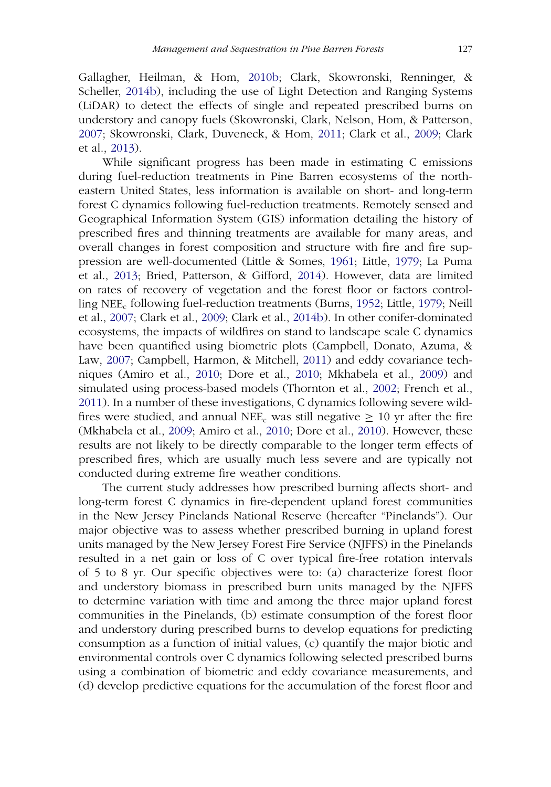Gallagher, Heilman, & Hom, [2010b;](#page-18-2) Clark, Skowronski, Renninger, & Scheller, [2014b\)](#page-19-6), including the use of Light Detection and Ranging Systems (LiDAR) to detect the effects of single and repeated prescribed burns on understory and canopy fuels (Skowronski, Clark, Nelson, Hom, & Patterson, [2007;](#page-21-6) Skowronski, Clark, Duveneck, & Hom, [2011;](#page-21-7) Clark et al., [2009;](#page-19-5) Clark et al., [2013\)](#page-18-3).

While significant progress has been made in estimating C emissions during fuel-reduction treatments in Pine Barren ecosystems of the northeastern United States, less information is available on short- and long-term forest C dynamics following fuel-reduction treatments. Remotely sensed and Geographical Information System (GIS) information detailing the history of prescribed fires and thinning treatments are available for many areas, and overall changes in forest composition and structure with fire and fire suppression are well-documented (Little & Somes, [1961;](#page-19-7) Little, [1979;](#page-19-1) La Puma et al., [2013;](#page-19-2) Bried, Patterson, & Gifford, [2014\)](#page-18-4). However, data are limited on rates of recovery of vegetation and the forest floor or factors controlling NEEc following fuel-reduction treatments (Burns, [1952;](#page-18-5) Little, [1979;](#page-19-1) Neill et al., [2007;](#page-20-0) Clark et al., [2009;](#page-19-5) Clark et al., [2014b\)](#page-19-6). In other conifer-dominated ecosystems, the impacts of wildfires on stand to landscape scale C dynamics have been quantified using biometric plots (Campbell, Donato, Azuma, & Law, [2007;](#page-18-6) Campbell, Harmon, & Mitchell, [2011\)](#page-18-7) and eddy covariance techniques (Amiro et al*.*, [2010;](#page-18-0) Dore et al., [2010;](#page-19-3) Mkhabela et al., [2009\)](#page-20-5) and simulated using process-based models (Thornton et al., [2002;](#page-21-8) French et al., [2011\)](#page-19-4). In a number of these investigations, C dynamics following severe wildfires were studied, and annual NEE<sub>c</sub> was still negative  $\geq 10$  yr after the fire (Mkhabela et al., [2009;](#page-20-5) Amiro et al., [2010;](#page-18-0) Dore et al., [2010\)](#page-19-3). However, these results are not likely to be directly comparable to the longer term effects of prescribed fires, which are usually much less severe and are typically not conducted during extreme fire weather conditions.

The current study addresses how prescribed burning affects short- and long-term forest C dynamics in fire-dependent upland forest communities in the New Jersey Pinelands National Reserve (hereafter "Pinelands"). Our major objective was to assess whether prescribed burning in upland forest units managed by the New Jersey Forest Fire Service (NJFFS) in the Pinelands resulted in a net gain or loss of C over typical fire-free rotation intervals of 5 to 8 yr. Our specific objectives were to: (a) characterize forest floor and understory biomass in prescribed burn units managed by the NJFFS to determine variation with time and among the three major upland forest communities in the Pinelands, (b) estimate consumption of the forest floor and understory during prescribed burns to develop equations for predicting consumption as a function of initial values, (c) quantify the major biotic and environmental controls over C dynamics following selected prescribed burns using a combination of biometric and eddy covariance measurements, and (d) develop predictive equations for the accumulation of the forest floor and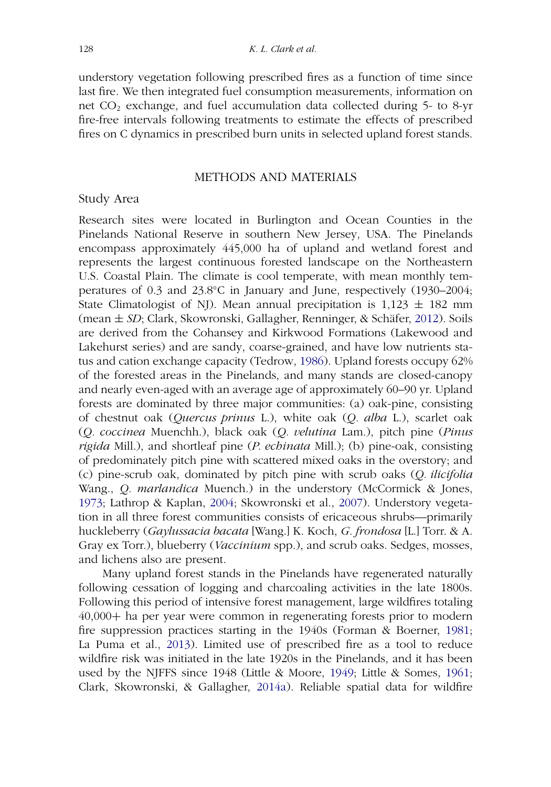understory vegetation following prescribed fires as a function of time since last fire. We then integrated fuel consumption measurements, information on net  $CO<sub>2</sub>$  exchange, and fuel accumulation data collected during 5- to 8-yr fire-free intervals following treatments to estimate the effects of prescribed fires on C dynamics in prescribed burn units in selected upland forest stands.

#### METHODS AND MATERIALS

## Study Area

Research sites were located in Burlington and Ocean Counties in the Pinelands National Reserve in southern New Jersey, USA. The Pinelands encompass approximately 445,000 ha of upland and wetland forest and represents the largest continuous forested landscape on the Northeastern U.S. Coastal Plain. The climate is cool temperate, with mean monthly temperatures of 0.3 and 23.8◦C in January and June, respectively (1930–2004; State Climatologist of NJ). Mean annual precipitation is  $1,123 \pm 182$  mm (mean ± *SD*; Clark, Skowronski, Gallagher, Renninger, & Schäfer, [2012\)](#page-18-8). Soils are derived from the Cohansey and Kirkwood Formations (Lakewood and Lakehurst series) and are sandy, coarse-grained, and have low nutrients status and cation exchange capacity (Tedrow, [1986\)](#page-21-9). Upland forests occupy 62% of the forested areas in the Pinelands, and many stands are closed-canopy and nearly even-aged with an average age of approximately 60–90 yr. Upland forests are dominated by three major communities: (a) oak-pine, consisting of chestnut oak (*Quercus prinus* L.), white oak (*Q. alba* L.), scarlet oak (*Q. coccinea* Muenchh.), black oak (*Q. velutina* Lam.), pitch pine (*Pinus rigida* Mill.), and shortleaf pine (*P. echinata* Mill.); (b) pine-oak, consisting of predominately pitch pine with scattered mixed oaks in the overstory; and (c) pine-scrub oak, dominated by pitch pine with scrub oaks (*Q. ilicifolia* Wang., *Q. marlandica* Muench.) in the understory (McCormick & Jones, [1973;](#page-20-6) Lathrop & Kaplan, [2004;](#page-19-8) Skowronski et al., [2007\)](#page-21-6). Understory vegetation in all three forest communities consists of ericaceous shrubs—primarily huckleberry (*Gaylussacia bacata* [Wang.] K. Koch, *G. frondosa* [L.] Torr. & A. Gray ex Torr.), blueberry (*Vaccinium* spp.), and scrub oaks. Sedges, mosses, and lichens also are present.

Many upland forest stands in the Pinelands have regenerated naturally following cessation of logging and charcoaling activities in the late 1800s. Following this period of intensive forest management, large wildfires totaling 40,000+ ha per year were common in regenerating forests prior to modern fire suppression practices starting in the 1940s (Forman & Boerner, [1981;](#page-19-9) La Puma et al., [2013\)](#page-19-2). Limited use of prescribed fire as a tool to reduce wildfire risk was initiated in the late 1920s in the Pinelands, and it has been used by the NJFFS since 1948 (Little & Moore, [1949;](#page-19-10) Little & Somes, [1961;](#page-19-7) Clark, Skowronski, & Gallagher, [2014a\)](#page-18-9). Reliable spatial data for wildfire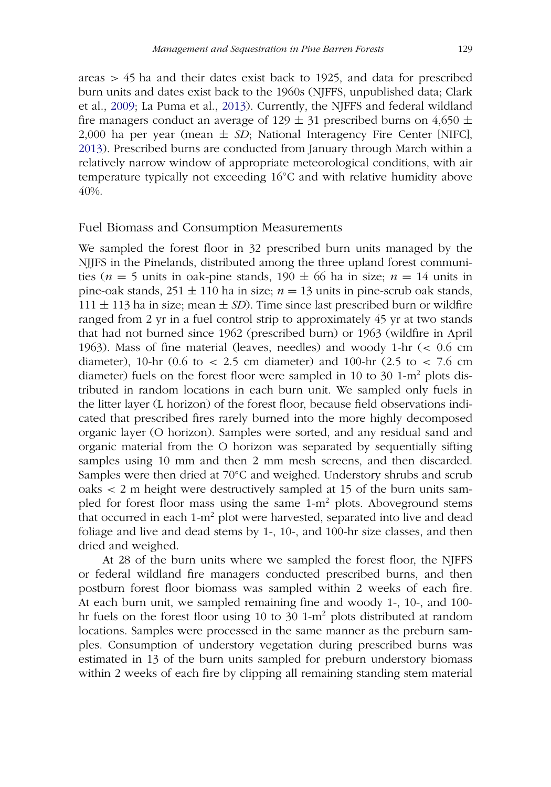areas *>* 45 ha and their dates exist back to 1925, and data for prescribed burn units and dates exist back to the 1960s (NJFFS, unpublished data; Clark et al., [2009;](#page-19-5) La Puma et al., [2013\)](#page-19-2). Currently, the NJFFS and federal wildland fire managers conduct an average of 129  $\pm$  31 prescribed burns on 4,650  $\pm$ 2,000 ha per year (mean  $\pm$  *SD*; National Interagency Fire Center [NIFC], [2013\)](#page-20-7). Prescribed burns are conducted from January through March within a relatively narrow window of appropriate meteorological conditions, with air temperature typically not exceeding 16℃ and with relative humidity above 40%.

#### Fuel Biomass and Consumption Measurements

We sampled the forest floor in 32 prescribed burn units managed by the NJJFS in the Pinelands, distributed among the three upland forest communities ( $n = 5$  units in oak-pine stands, 190  $\pm$  66 ha in size;  $n = 14$  units in pine-oak stands,  $251 \pm 110$  ha in size;  $n = 13$  units in pine-scrub oak stands,  $111 \pm 113$  ha in size; mean  $\pm SD$ ). Time since last prescribed burn or wildfire ranged from 2 yr in a fuel control strip to approximately 45 yr at two stands that had not burned since 1962 (prescribed burn) or 1963 (wildfire in April 1963). Mass of fine material (leaves, needles) and woody 1-hr (*<* 0.6 cm diameter), 10-hr (0.6 to *<* 2.5 cm diameter) and 100-hr (2.5 to *<* 7.6 cm diameter) fuels on the forest floor were sampled in 10 to 30  $1-m^2$  plots distributed in random locations in each burn unit. We sampled only fuels in the litter layer (L horizon) of the forest floor, because field observations indicated that prescribed fires rarely burned into the more highly decomposed organic layer (O horizon). Samples were sorted, and any residual sand and organic material from the O horizon was separated by sequentially sifting samples using 10 mm and then 2 mm mesh screens, and then discarded. Samples were then dried at 70◦C and weighed. Understory shrubs and scrub oaks *<* 2 m height were destructively sampled at 15 of the burn units sampled for forest floor mass using the same  $1-m^2$  plots. Aboveground stems that occurred in each  $1-m^2$  plot were harvested, separated into live and dead foliage and live and dead stems by 1-, 10-, and 100-hr size classes, and then dried and weighed.

At 28 of the burn units where we sampled the forest floor, the NJFFS or federal wildland fire managers conducted prescribed burns, and then postburn forest floor biomass was sampled within 2 weeks of each fire. At each burn unit, we sampled remaining fine and woody 1-, 10-, and 100 hr fuels on the forest floor using 10 to 30 1-m2 plots distributed at random locations. Samples were processed in the same manner as the preburn samples. Consumption of understory vegetation during prescribed burns was estimated in 13 of the burn units sampled for preburn understory biomass within 2 weeks of each fire by clipping all remaining standing stem material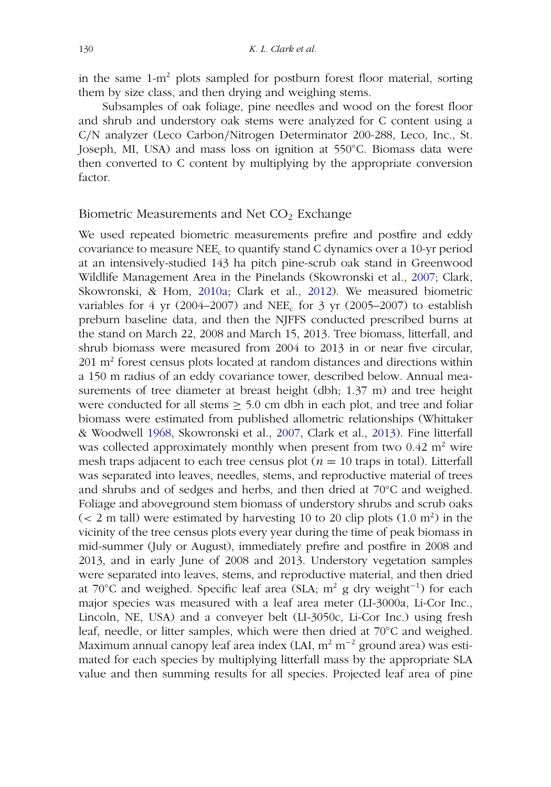in the same  $1-m^2$  plots sampled for postburn forest floor material, sorting them by size class, and then drying and weighing stems.

Subsamples of oak foliage, pine needles and wood on the forest floor and shrub and understory oak stems were analyzed for C content using a C*/*N analyzer (Leco Carbon*/*Nitrogen Determinator 200-288, Leco, Inc., St. Joseph, MI, USA) and mass loss on ignition at 550◦C. Biomass data were then converted to C content by multiplying by the appropriate conversion factor.

## Biometric Measurements and Net  $CO<sub>2</sub>$  Exchange

We used repeated biometric measurements prefire and postfire and eddy covariance to measure  $NEE_c$  to quantify stand C dynamics over a 10-yr period at an intensively-studied 143 ha pitch pine-scrub oak stand in Greenwood Wildlife Management Area in the Pinelands (Skowronski et al., [2007;](#page-21-6) Clark, Skowronski, & Hom, [2010a;](#page-18-10) Clark et al., [2012\)](#page-18-8). We measured biometric variables for  $4 \text{ yr}$  (2004–2007) and NEE<sub>c</sub> for  $3 \text{ yr}$  (2005–2007) to establish preburn baseline data, and then the NJFFS conducted prescribed burns at the stand on March 22, 2008 and March 15, 2013. Tree biomass, litterfall, and shrub biomass were measured from 2004 to 2013 in or near five circular,  $201 \text{ m}^2$  forest census plots located at random distances and directions within a 150 m radius of an eddy covariance tower, described below. Annual measurements of tree diameter at breast height (dbh; 1.37 m) and tree height were conducted for all stems  $\geq 5.0$  cm dbh in each plot, and tree and foliar biomass were estimated from published allometric relationships (Whittaker & Woodwell [1968,](#page-21-10) Skowronski et al., [2007,](#page-21-6) Clark et al., [2013\)](#page-18-3). Fine litterfall was collected approximately monthly when present from two  $0.42 \text{ m}^2$  wire mesh traps adjacent to each tree census plot  $(n = 10$  traps in total). Litterfall was separated into leaves, needles, stems, and reproductive material of trees and shrubs and of sedges and herbs, and then dried at 70◦C and weighed. Foliage and aboveground stem biomass of understory shrubs and scrub oaks  $(< 2$  m tall) were estimated by harvesting 10 to 20 clip plots  $(1.0 \text{ m}^2)$  in the vicinity of the tree census plots every year during the time of peak biomass in mid-summer (July or August), immediately prefire and postfire in 2008 and 2013, and in early June of 2008 and 2013. Understory vegetation samples were separated into leaves, stems, and reproductive material, and then dried at 70◦C and weighed. Specific leaf area (SLA; m2 g dry weight−1) for each major species was measured with a leaf area meter (LI-3000a, Li-Cor Inc., Lincoln, NE, USA) and a conveyer belt (LI-3050c, Li-Cor Inc.) using fresh leaf, needle, or litter samples, which were then dried at 70◦ C and weighed. Maximum annual canopy leaf area index (LAI,  $m^2$  m<sup>-2</sup> ground area) was estimated for each species by multiplying litterfall mass by the appropriate SLA value and then summing results for all species. Projected leaf area of pine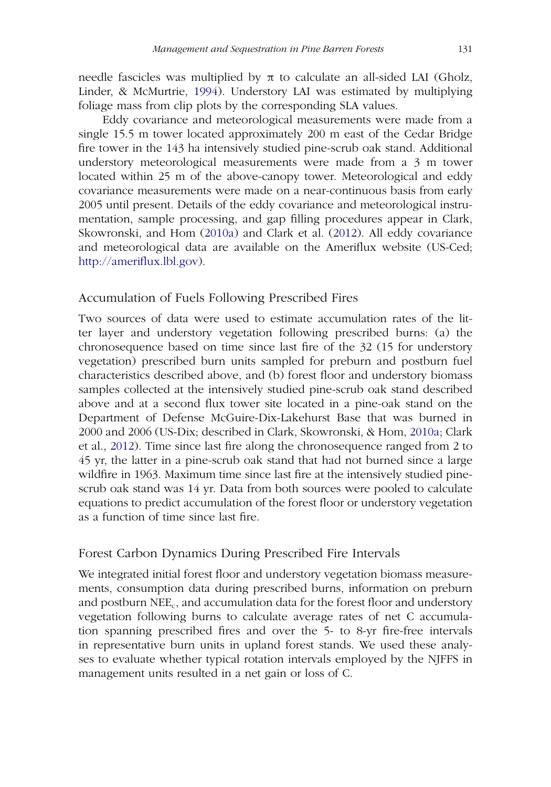needle fascicles was multiplied by  $\pi$  to calculate an all-sided LAI (Gholz, Linder, & McMurtrie, [1994\)](#page-19-11). Understory LAI was estimated by multiplying foliage mass from clip plots by the corresponding SLA values.

Eddy covariance and meteorological measurements were made from a single 15.5 m tower located approximately 200 m east of the Cedar Bridge fire tower in the 143 ha intensively studied pine-scrub oak stand. Additional understory meteorological measurements were made from a 3 m tower located within 25 m of the above-canopy tower. Meteorological and eddy covariance measurements were made on a near-continuous basis from early 2005 until present. Details of the eddy covariance and meteorological instrumentation, sample processing, and gap filling procedures appear in Clark, Skowronski, and Hom [\(2010a\)](#page-18-10) and Clark et al. [\(2012\)](#page-18-8). All eddy covariance and meteorological data are available on the Ameriflux website (US-Ced; [http://ameriflux.lbl.gov\).](http://ameriflux.lbl.gov)

#### Accumulation of Fuels Following Prescribed Fires

Two sources of data were used to estimate accumulation rates of the litter layer and understory vegetation following prescribed burns: (a) the chronosequence based on time since last fire of the 32 (15 for understory vegetation) prescribed burn units sampled for preburn and postburn fuel characteristics described above, and (b) forest floor and understory biomass samples collected at the intensively studied pine-scrub oak stand described above and at a second flux tower site located in a pine-oak stand on the Department of Defense McGuire-Dix-Lakehurst Base that was burned in 2000 and 2006 (US-Dix; described in Clark, Skowronski, & Hom, [2010a;](#page-18-10) Clark et al., [2012\)](#page-18-8). Time since last fire along the chronosequence ranged from 2 to 45 yr, the latter in a pine-scrub oak stand that had not burned since a large wildfire in 1963. Maximum time since last fire at the intensively studied pinescrub oak stand was 14 yr. Data from both sources were pooled to calculate equations to predict accumulation of the forest floor or understory vegetation as a function of time since last fire.

#### Forest Carbon Dynamics During Prescribed Fire Intervals

We integrated initial forest floor and understory vegetation biomass measurements, consumption data during prescribed burns, information on preburn and postburn NEEc, and accumulation data for the forest floor and understory vegetation following burns to calculate average rates of net C accumulation spanning prescribed fires and over the 5- to 8-yr fire-free intervals in representative burn units in upland forest stands. We used these analyses to evaluate whether typical rotation intervals employed by the NJFFS in management units resulted in a net gain or loss of C.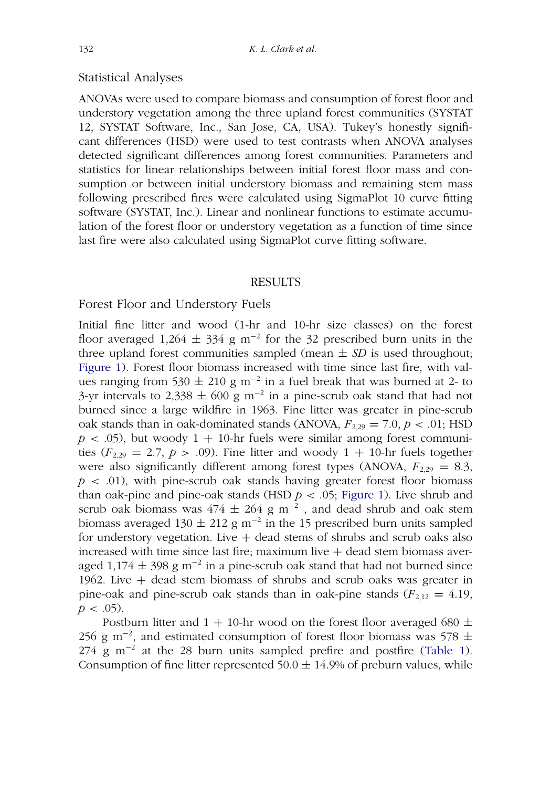## Statistical Analyses

ANOVAs were used to compare biomass and consumption of forest floor and understory vegetation among the three upland forest communities (SYSTAT 12, SYSTAT Software, Inc., San Jose, CA, USA). Tukey's honestly significant differences (HSD) were used to test contrasts when ANOVA analyses detected significant differences among forest communities. Parameters and statistics for linear relationships between initial forest floor mass and consumption or between initial understory biomass and remaining stem mass following prescribed fires were calculated using SigmaPlot 10 curve fitting software (SYSTAT, Inc.). Linear and nonlinear functions to estimate accumulation of the forest floor or understory vegetation as a function of time since last fire were also calculated using SigmaPlot curve fitting software.

#### RESULTS

## Forest Floor and Understory Fuels

Initial fine litter and wood (1-hr and 10-hr size classes) on the forest floor averaged 1,264  $\pm$  334 g m<sup>-2</sup> for the 32 prescribed burn units in the three upland forest communities sampled (mean  $\pm SD$  is used throughout; [Figure 1\)](#page-8-0). Forest floor biomass increased with time since last fire, with values ranging from 530  $\pm$  210 g m<sup>-2</sup> in a fuel break that was burned at 2- to 3-yr intervals to 2,338  $\pm$  600 g m<sup>-2</sup> in a pine-scrub oak stand that had not burned since a large wildfire in 1963. Fine litter was greater in pine-scrub oak stands than in oak-dominated stands (ANOVA,  $F_{2,29} = 7.0$ ,  $p < .01$ ; HSD  $p$  < .05), but woody 1 + 10-hr fuels were similar among forest communities  $(F_{2,29} = 2.7, p > .09)$ . Fine litter and woody 1 + 10-hr fuels together were also significantly different among forest types (ANOVA,  $F_{2,29} = 8.3$ ,  $p \lt 0.01$ , with pine-scrub oak stands having greater forest floor biomass than oak-pine and pine-oak stands (HSD  $p < .05$ ; [Figure 1\)](#page-8-0). Live shrub and scrub oak biomass was  $474 \pm 264$  g m<sup>-2</sup>, and dead shrub and oak stem biomass averaged  $130 \pm 212$  g m<sup>-2</sup> in the 15 prescribed burn units sampled for understory vegetation. Live  $+$  dead stems of shrubs and scrub oaks also increased with time since last fire; maximum live  $+$  dead stem biomass averaged 1,174  $\pm$  398 g m<sup>-2</sup> in a pine-scrub oak stand that had not burned since 1962. Live + dead stem biomass of shrubs and scrub oaks was greater in pine-oak and pine-scrub oak stands than in oak-pine stands  $(F_{2,12} = 4.19)$ ,  $p < .05$ ).

Postburn litter and  $1 + 10$ -hr wood on the forest floor averaged 680  $\pm$ 256 g m<sup>-2</sup>, and estimated consumption of forest floor biomass was 578  $\pm$  $274 \text{ g m}^{-2}$  at the 28 burn units sampled prefire and postfire [\(Table 1\)](#page-9-0). Consumption of fine litter represented  $50.0 \pm 14.9\%$  of preburn values, while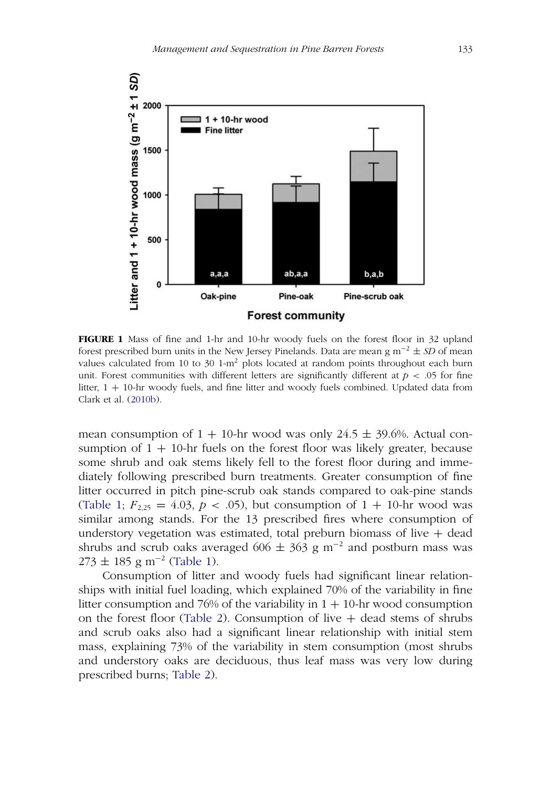<span id="page-8-0"></span>

**FIGURE 1** Mass of fine and 1-hr and 10-hr woody fuels on the forest floor in 32 upland forest prescribed burn units in the New Jersey Pinelands. Data are mean g m−<sup>2</sup> ± *SD* of mean values calculated from 10 to 30  $1-m^2$  plots located at random points throughout each burn unit. Forest communities with different letters are significantly different at  $p < .05$  for fine litter, 1 + 10-hr woody fuels, and fine litter and woody fuels combined. Updated data from Clark et al. [\(2010b\)](#page-18-2).

mean consumption of  $1 + 10$ -hr wood was only  $24.5 \pm 39.6$ %. Actual consumption of  $1 + 10$ -hr fuels on the forest floor was likely greater, because some shrub and oak stems likely fell to the forest floor during and immediately following prescribed burn treatments. Greater consumption of fine litter occurred in pitch pine-scrub oak stands compared to oak-pine stands [\(Table 1;](#page-9-0)  $F_{2,25} = 4.03$ ,  $p < .05$ ), but consumption of  $1 + 10$ -hr wood was similar among stands. For the 13 prescribed fires where consumption of understory vegetation was estimated, total preburn biomass of live  $+$  dead shrubs and scrub oaks averaged 606  $\pm$  363 g m<sup>-2</sup> and postburn mass was  $273 \pm 185$  g m<sup>-2</sup> [\(Table 1\)](#page-9-0).

Consumption of litter and woody fuels had significant linear relationships with initial fuel loading, which explained 70% of the variability in fine litter consumption and 76% of the variability in  $1 + 10$ -hr wood consumption on the forest floor [\(Table 2\)](#page-9-1). Consumption of live  $+$  dead stems of shrubs and scrub oaks also had a significant linear relationship with initial stem mass, explaining 73% of the variability in stem consumption (most shrubs and understory oaks are deciduous, thus leaf mass was very low during prescribed burns; [Table 2\)](#page-9-1).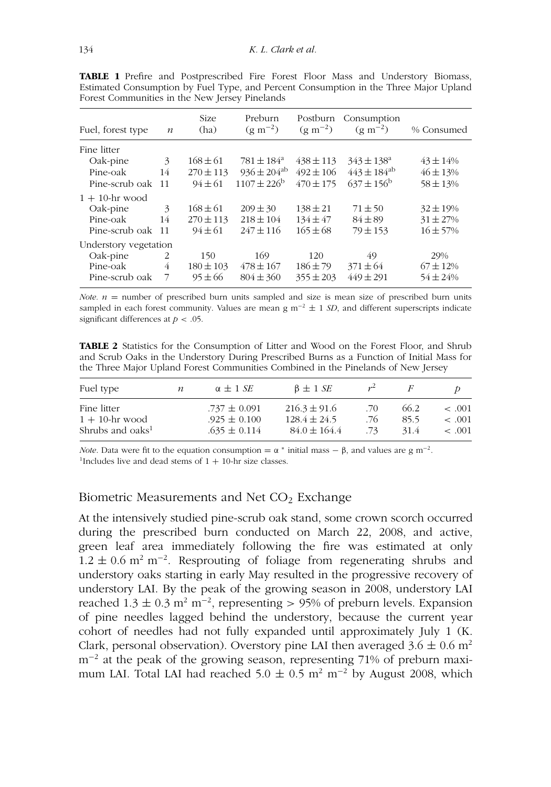<span id="page-9-0"></span>

| Fuel, forest type     | $\boldsymbol{n}$ | Size<br>(ha)  | Preburn<br>$(g m^{-2})$     | Postburn<br>$(g m^{-2})$ | Consumption<br>$(g m^{-2})$ | % Consumed    |
|-----------------------|------------------|---------------|-----------------------------|--------------------------|-----------------------------|---------------|
|                       |                  |               |                             |                          |                             |               |
| Fine litter           |                  |               |                             |                          |                             |               |
| Oak-pine              | 3                | $168 \pm 61$  | $781 \pm 184^{\circ}$       | $438 \pm 113$            | $343 \pm 138^{\circ}$       | $43 \pm 14\%$ |
| Pine-oak              | 14               | $270 \pm 113$ | $936 \pm 204^{ab}$          | $492 \pm 106$            | $443 \pm 184^{ab}$          | $46 \pm 13\%$ |
| Pine-scrub oak        | 11               | $94 \pm 61$   | $1107 \pm 226$ <sup>b</sup> | $470 \pm 175$            | $637 \pm 156$ <sup>b</sup>  | $58 \pm 13\%$ |
| $1 + 10$ -hr wood     |                  |               |                             |                          |                             |               |
| Oak-pine              | 3                | $168 \pm 61$  | $209 \pm 30$                | $138 \pm 21$             | $71 \pm 50$                 | $32 \pm 19\%$ |
| Pine-oak              | 14               | $270 \pm 113$ | $218 \pm 104$               | $134 \pm 47$             | $84 \pm 89$                 | $31 \pm 27\%$ |
| Pine-scrub oak 11     |                  | $94 \pm 61$   | $247 \pm 116$               | $165 \pm 68$             | $79 \pm 153$                | $16 \pm 57\%$ |
| Understory vegetation |                  |               |                             |                          |                             |               |
| Oak-pine              | 2                | 150           | 169                         | 120                      | 49                          | 29%           |
| Pine-oak              | 4                | $180 \pm 103$ | $478 \pm 167$               | $186 \pm 79$             | $371 \pm 64$                | $67 \pm 12\%$ |
| Pine-scrub oak        | 7                | $95 \pm 66$   | $804 \pm 360$               | $355 \pm 203$            | $449 \pm 291$               | $54 \pm 24\%$ |

**TABLE 1** Prefire and Postprescribed Fire Forest Floor Mass and Understory Biomass, Estimated Consumption by Fuel Type, and Percent Consumption in the Three Major Upland Forest Communities in the New Jersey Pinelands

*Note.*  $n =$  number of prescribed burn units sampled and size is mean size of prescribed burn units sampled in each forest community. Values are mean g m<sup>-2</sup>  $\pm$  1 *SD*, and different superscripts indicate significant differences at  $p < .05$ .

**TABLE 2** Statistics for the Consumption of Litter and Wood on the Forest Floor, and Shrub and Scrub Oaks in the Understory During Prescribed Burns as a Function of Initial Mass for the Three Major Upland Forest Communities Combined in the Pinelands of New Jersey

<span id="page-9-1"></span>

| Fuel type          | $\boldsymbol{n}$ | $\alpha \pm 1$ SE | $\beta \pm 1$ SE | r <sup>2</sup> |      |             |
|--------------------|------------------|-------------------|------------------|----------------|------|-------------|
| Fine litter        |                  | $.737 \pm 0.091$  | $216.3 \pm 91.6$ | .70            | 66.2 | $\leq .001$ |
| $1 + 10$ -hr wood  |                  | $.925 \pm 0.100$  | $128.4 \pm 24.5$ | .76            | 85.5 | $\leq .001$ |
| Shrubs and $oaks1$ |                  | $.635 \pm 0.114$  | $84.0 \pm 164.4$ | .73            | 31.4 | $\leq .001$ |

*Note*. Data were fit to the equation consumption =  $\alpha$  <sup>∗</sup> initial mass −  $\beta$ , and values are g m<sup>-2</sup>. <sup>1</sup>Includes live and dead stems of 1 + 10-hr size classes.

## Biometric Measurements and Net  $CO<sub>2</sub>$  Exchange

At the intensively studied pine-scrub oak stand, some crown scorch occurred during the prescribed burn conducted on March 22, 2008, and active, green leaf area immediately following the fire was estimated at only  $1.2 \pm 0.6$  m<sup>2</sup> m<sup>-2</sup>. Resprouting of foliage from regenerating shrubs and understory oaks starting in early May resulted in the progressive recovery of understory LAI. By the peak of the growing season in 2008, understory LAI reached  $1.3 \pm 0.3$  m<sup>2</sup> m<sup>-2</sup>, representing > 95% of preburn levels. Expansion of pine needles lagged behind the understory, because the current year cohort of needles had not fully expanded until approximately July 1 (K. Clark, personal observation). Overstory pine LAI then averaged  $3.6 \pm 0.6$  m<sup>2</sup> m<sup>-2</sup> at the peak of the growing season, representing 71% of preburn maximum LAI. Total LAI had reached 5.0  $\pm$  0.5 m<sup>2</sup> m<sup>-2</sup> by August 2008, which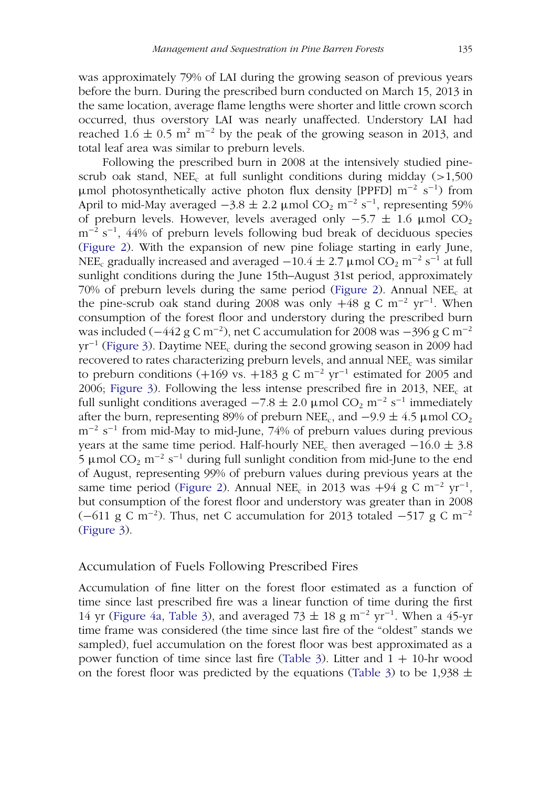was approximately 79% of LAI during the growing season of previous years before the burn. During the prescribed burn conducted on March 15, 2013 in the same location, average flame lengths were shorter and little crown scorch occurred, thus overstory LAI was nearly unaffected. Understory LAI had reached  $1.6 \pm 0.5$  m<sup>2</sup> m<sup>-2</sup> by the peak of the growing season in 2013, and total leaf area was similar to preburn levels.

Following the prescribed burn in 2008 at the intensively studied pinescrub oak stand, NEE<sub>c</sub> at full sunlight conditions during midday (>1,500) μmol photosynthetically active photon flux density [PPFD]  $m^{-2}$  s<sup>-1</sup>) from April to mid-May averaged  $-3.8 \pm 2.2$  µmol CO<sub>2</sub> m<sup>-2</sup> s<sup>-1</sup>, representing 59% of preburn levels. However, levels averaged only  $-5.7 \pm 1.6$  µmol CO<sub>2</sub> m<sup>-2</sup> s<sup>-1</sup>, 44% of preburn levels following bud break of deciduous species [\(Figure 2\)](#page-11-0). With the expansion of new pine foliage starting in early June, NEE<sub>c</sub> gradually increased and averaged  $-10.4 \pm 2.7$  µmol CO<sub>2</sub> m<sup>-2</sup> s<sup>-1</sup> at full sunlight conditions during the June 15th–August 31st period, approximately 70% of preburn levels during the same period [\(Figure 2\)](#page-11-0). Annual NEEc at the pine-scrub oak stand during 2008 was only  $+48$  g C m<sup>-2</sup> yr<sup>-1</sup>. When consumption of the forest floor and understory during the prescribed burn was included ( $-442$  g C m<sup>-2</sup>), net C accumulation for 2008 was  $-396$  g C m<sup>-2</sup> yr−<sup>1</sup> [\(Figure 3\)](#page-12-0). Daytime NEEc during the second growing season in 2009 had recovered to rates characterizing preburn levels, and annual NEEc was similar to preburn conditions (+169 vs. +183 g C m<sup>-2</sup> yr<sup>-1</sup> estimated for 2005 and 2006; [Figure 3\)](#page-12-0). Following the less intense prescribed fire in 2013, NEEc at full sunlight conditions averaged  $-7.8 \pm 2.0$  µmol CO<sub>2</sub> m<sup>-2</sup> s<sup>-1</sup> immediately after the burn, representing 89% of preburn NEE<sub>c</sub>, and  $-9.9 \pm 4.5$  µmol CO<sub>2</sub>  $m^{-2}$  s<sup>-1</sup> from mid-May to mid-June, 74% of preburn values during previous years at the same time period. Half-hourly NEE<sub>c</sub> then averaged  $-16.0 \pm 3.8$ 5 μmol CO<sub>2</sub> m<sup>-2</sup> s<sup>-1</sup> during full sunlight condition from mid-June to the end of August, representing 99% of preburn values during previous years at the same time period [\(Figure 2\)](#page-11-0). Annual NEE<sub>c</sub> in 2013 was +94 g C m<sup>-2</sup> yr<sup>-1</sup>, but consumption of the forest floor and understory was greater than in 2008 (-611 g C m<sup>-2</sup>). Thus, net C accumulation for 2013 totaled -517 g C m<sup>-2</sup> [\(Figure 3\)](#page-12-0).

## Accumulation of Fuels Following Prescribed Fires

Accumulation of fine litter on the forest floor estimated as a function of time since last prescribed fire was a linear function of time during the first 14 yr [\(Figure 4a,](#page-13-0) [Table 3\)](#page-14-0), and averaged 73  $\pm$  18 g m<sup>-2</sup> yr<sup>-1</sup>. When a 45-yr time frame was considered (the time since last fire of the "oldest" stands we sampled), fuel accumulation on the forest floor was best approximated as a power function of time since last fire [\(Table 3\)](#page-14-0). Litter and  $1 + 10$ -hr wood on the forest floor was predicted by the equations [\(Table 3\)](#page-14-0) to be 1,938  $\pm$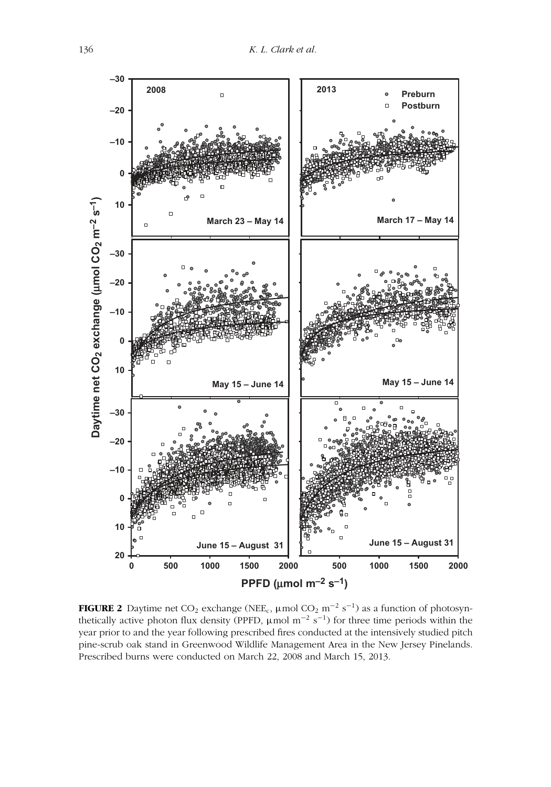<span id="page-11-0"></span>

**FIGURE 2** Daytime net CO<sub>2</sub> exchange (NEE<sub>c</sub>, µmol CO<sub>2</sub> m<sup>-2</sup> s<sup>-1</sup>) as a function of photosynthetically active photon flux density (PPFD,  $\mu$ mol m<sup>-2</sup> s<sup>-1</sup>) for three time periods within the year prior to and the year following prescribed fires conducted at the intensively studied pitch pine-scrub oak stand in Greenwood Wildlife Management Area in the New Jersey Pinelands. Prescribed burns were conducted on March 22, 2008 and March 15, 2013.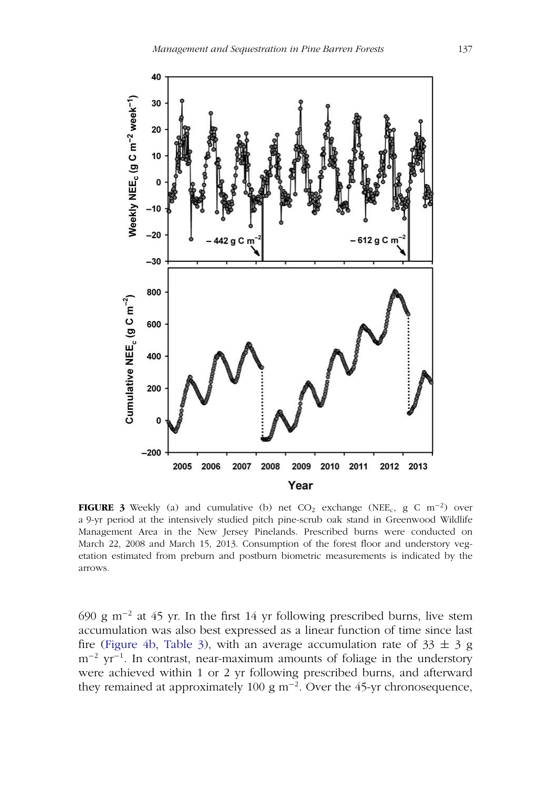<span id="page-12-0"></span>

**FIGURE 3** Weekly (a) and cumulative (b) net  $CO_2$  exchange (NEE<sub>c</sub>, g C m<sup>-2</sup>) over a 9-yr period at the intensively studied pitch pine-scrub oak stand in Greenwood Wildlife Management Area in the New Jersey Pinelands. Prescribed burns were conducted on March 22, 2008 and March 15, 2013. Consumption of the forest floor and understory vegetation estimated from preburn and postburn biometric measurements is indicated by the arrows.

690 g m−<sup>2</sup> at 45 yr. In the first 14 yr following prescribed burns, live stem accumulation was also best expressed as a linear function of time since last fire [\(Figure 4b,](#page-13-0) [Table 3\)](#page-14-0), with an average accumulation rate of  $33 \pm 3$  g  $m^{-2}$  yr<sup>-1</sup>. In contrast, near-maximum amounts of foliage in the understory were achieved within 1 or 2 yr following prescribed burns, and afterward they remained at approximately 100 g m−2. Over the 45-yr chronosequence,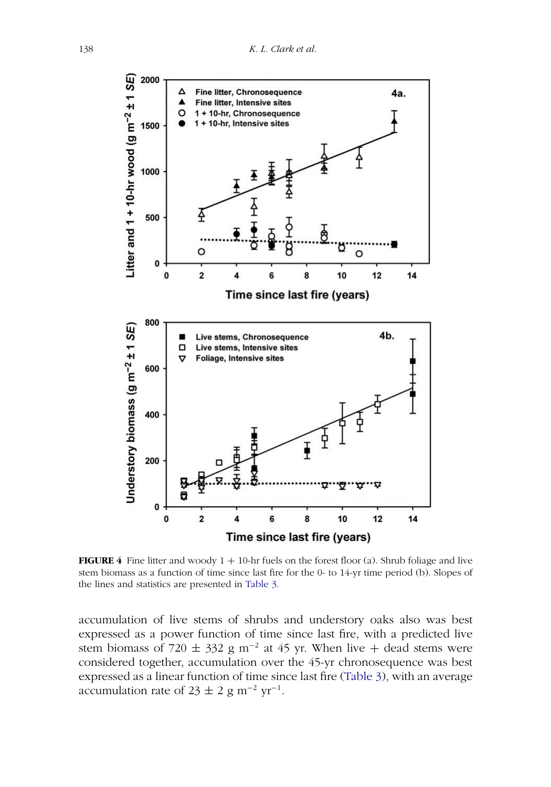<span id="page-13-0"></span>

**FIGURE 4** Fine litter and woody  $1 + 10$ -hr fuels on the forest floor (a). Shrub foliage and live stem biomass as a function of time since last fire for the 0- to 14-yr time period (b). Slopes of the lines and statistics are presented in [Table 3.](#page-14-0)

accumulation of live stems of shrubs and understory oaks also was best expressed as a power function of time since last fire, with a predicted live stem biomass of 720  $\pm$  332 g m<sup>-2</sup> at 45 yr. When live + dead stems were considered together, accumulation over the 45-yr chronosequence was best expressed as a linear function of time since last fire [\(Table 3\)](#page-14-0), with an average accumulation rate of  $23 \pm 2$  g m<sup>-2</sup> yr<sup>-1</sup>.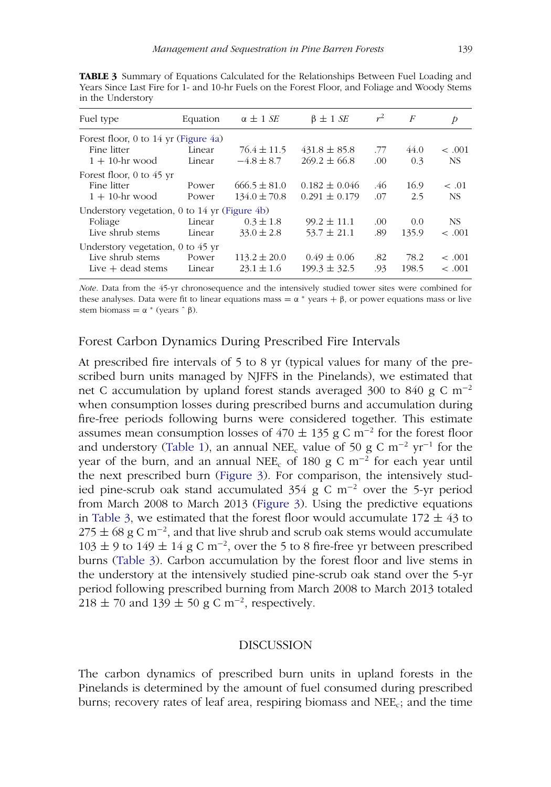<span id="page-14-0"></span>

| Fuel type                                       | Equation | $\alpha \pm 1$ SE | $\beta \pm 1$ SE  | $r^2$ | F     | Þ           |
|-------------------------------------------------|----------|-------------------|-------------------|-------|-------|-------------|
| Forest floor, 0 to 14 yr (Figure $4a$ )         |          |                   |                   |       |       |             |
| Fine litter                                     | Linear   | $76.4 \pm 11.5$   | $431.8 \pm 85.8$  | .77   | 44.0  | < 0.01      |
| $1 + 10$ -hr wood                               | Linear   | $-4.8 \pm 8.7$    | $269.2 \pm 66.8$  | .00   | 0.3   | <b>NS</b>   |
| Forest floor, $0$ to $45$ yr                    |          |                   |                   |       |       |             |
| Fine litter                                     | Power    | $666.5 \pm 81.0$  | $0.182 \pm 0.046$ | .46   | 16.9  | < .01       |
| $1 + 10$ -hr wood                               | Power    | $134.0 \pm 70.8$  | $0.291 \pm 0.179$ | .07   | 2.5   | NS.         |
| Understory vegetation, $0$ to 14 yr (Figure 4b) |          |                   |                   |       |       |             |
| Foliage                                         | Linear   | $0.3 \pm 1.8$     | $99.2 \pm 11.1$   | .00   | 0.0   | <b>NS</b>   |
| Live shrub stems                                | Linear   | $33.0 \pm 2.8$    | $53.7 \pm 21.1$   | .89   | 135.9 | $\leq .001$ |
| Understory vegetation, $0$ to 45 yr             |          |                   |                   |       |       |             |
| Live shrub stems                                | Power    | $113.2 \pm 20.0$  | $0.49 \pm 0.06$   | .82   | 78.2  | $\leq .001$ |
| Live $+$ dead stems                             | Linear   | $23.1 \pm 1.6$    | $199.3 \pm 32.5$  | .93   | 198.5 | $\leq .001$ |
|                                                 |          |                   |                   |       |       |             |

**TABLE 3** Summary of Equations Calculated for the Relationships Between Fuel Loading and Years Since Last Fire for 1- and 10-hr Fuels on the Forest Floor, and Foliage and Woody Stems in the Understory

*Note*. Data from the 45-yr chronosequence and the intensively studied tower sites were combined for these analyses. Data were fit to linear equations mass  $= \alpha * \text{ years} + \beta$ , or power equations mass or live stem biomass =  $\alpha$  \* (years  $\hat{\beta}$ ).

## Forest Carbon Dynamics During Prescribed Fire Intervals

At prescribed fire intervals of 5 to 8 yr (typical values for many of the prescribed burn units managed by NJFFS in the Pinelands), we estimated that net C accumulation by upland forest stands averaged 300 to 840 g C m−<sup>2</sup> when consumption losses during prescribed burns and accumulation during fire-free periods following burns were considered together. This estimate assumes mean consumption losses of 470  $\pm$  135 g C m<sup>-2</sup> for the forest floor and understory [\(Table 1\)](#page-9-0), an annual NEE<sub>c</sub> value of 50 g C m<sup>-2</sup> yr<sup>-1</sup> for the year of the burn, and an annual NEE<sub>c</sub> of 180 g C m<sup>-2</sup> for each year until the next prescribed burn [\(Figure 3\)](#page-12-0). For comparison, the intensively studied pine-scrub oak stand accumulated 354 g C m−<sup>2</sup> over the 5-yr period from March 2008 to March 2013 [\(Figure 3\)](#page-12-0). Using the predictive equations in [Table 3,](#page-14-0) we estimated that the forest floor would accumulate  $172 \pm 43$  to  $275 \pm 68$  g C m<sup>-2</sup>, and that live shrub and scrub oak stems would accumulate  $103 \pm 9$  to  $149 \pm 14$  g C m<sup>-2</sup>, over the 5 to 8 fire-free yr between prescribed burns [\(Table 3\)](#page-14-0). Carbon accumulation by the forest floor and live stems in the understory at the intensively studied pine-scrub oak stand over the 5-yr period following prescribed burning from March 2008 to March 2013 totaled  $218 \pm 70$  and  $139 \pm 50$  g C m<sup>-2</sup>, respectively.

#### DISCUSSION

The carbon dynamics of prescribed burn units in upland forests in the Pinelands is determined by the amount of fuel consumed during prescribed burns; recovery rates of leaf area, respiring biomass and  $NEE_c$ ; and the time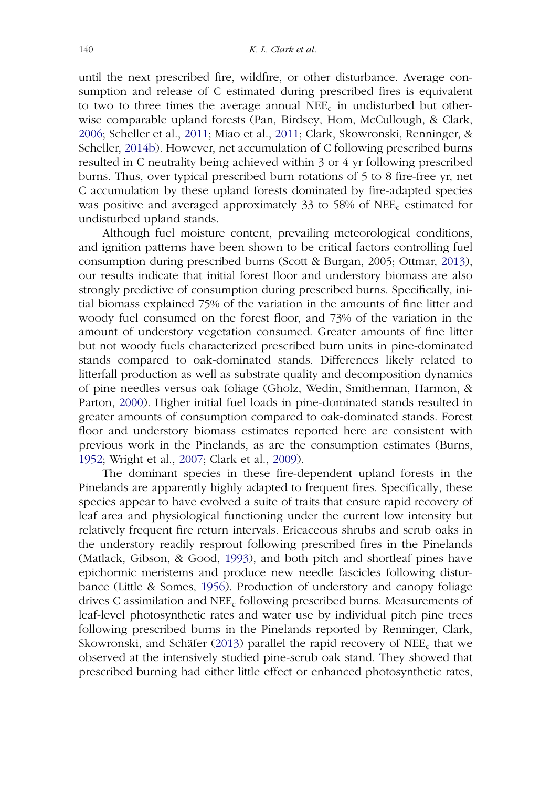until the next prescribed fire, wildfire, or other disturbance. Average consumption and release of C estimated during prescribed fires is equivalent to two to three times the average annual NEE<sub>c</sub> in undisturbed but otherwise comparable upland forests (Pan, Birdsey, Hom, McCullough, & Clark, [2006;](#page-20-8) Scheller et al., [2011;](#page-21-2) Miao et al., [2011;](#page-20-9) Clark, Skowronski, Renninger, & Scheller, [2014b\)](#page-19-6). However, net accumulation of C following prescribed burns resulted in C neutrality being achieved within 3 or 4 yr following prescribed burns. Thus, over typical prescribed burn rotations of 5 to 8 fire-free yr, net C accumulation by these upland forests dominated by fire-adapted species was positive and averaged approximately  $33$  to 58% of NEE<sub>c</sub> estimated for undisturbed upland stands.

Although fuel moisture content, prevailing meteorological conditions, and ignition patterns have been shown to be critical factors controlling fuel consumption during prescribed burns (Scott & Burgan, 2005; Ottmar, [2013\)](#page-20-4), our results indicate that initial forest floor and understory biomass are also strongly predictive of consumption during prescribed burns. Specifically, initial biomass explained 75% of the variation in the amounts of fine litter and woody fuel consumed on the forest floor, and 73% of the variation in the amount of understory vegetation consumed. Greater amounts of fine litter but not woody fuels characterized prescribed burn units in pine-dominated stands compared to oak-dominated stands. Differences likely related to litterfall production as well as substrate quality and decomposition dynamics of pine needles versus oak foliage (Gholz, Wedin, Smitherman, Harmon, & Parton, [2000\)](#page-19-12). Higher initial fuel loads in pine-dominated stands resulted in greater amounts of consumption compared to oak-dominated stands. Forest floor and understory biomass estimates reported here are consistent with previous work in the Pinelands, as are the consumption estimates (Burns, [1952;](#page-18-5) Wright et al., [2007;](#page-21-5) Clark et al., [2009\)](#page-19-5).

The dominant species in these fire-dependent upland forests in the Pinelands are apparently highly adapted to frequent fires. Specifically, these species appear to have evolved a suite of traits that ensure rapid recovery of leaf area and physiological functioning under the current low intensity but relatively frequent fire return intervals. Ericaceous shrubs and scrub oaks in the understory readily resprout following prescribed fires in the Pinelands (Matlack, Gibson, & Good, [1993\)](#page-20-10), and both pitch and shortleaf pines have epichormic meristems and produce new needle fascicles following disturbance (Little & Somes, [1956\)](#page-19-13). Production of understory and canopy foliage drives C assimilation and NEE<sub>c</sub> following prescribed burns. Measurements of leaf-level photosynthetic rates and water use by individual pitch pine trees following prescribed burns in the Pinelands reported by Renninger, Clark, Skowronski, and Schäfer [\(2013\)](#page-20-11) parallel the rapid recovery of  $NEE_c$  that we observed at the intensively studied pine-scrub oak stand. They showed that prescribed burning had either little effect or enhanced photosynthetic rates,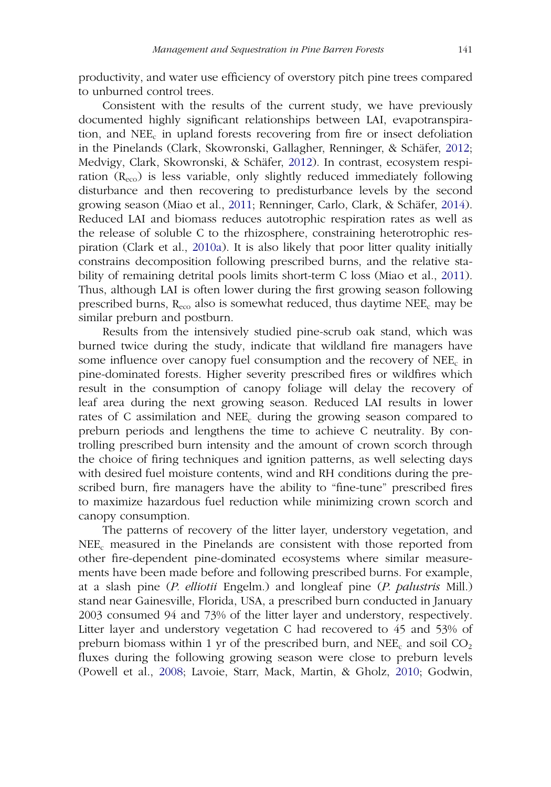productivity, and water use efficiency of overstory pitch pine trees compared to unburned control trees.

Consistent with the results of the current study, we have previously documented highly significant relationships between LAI, evapotranspiration, and  $NEE_c$  in upland forests recovering from fire or insect defoliation in the Pinelands (Clark, Skowronski, Gallagher, Renninger, & Schäfer, [2012;](#page-18-8) Medvigy, Clark, Skowronski, & Schäfer, [2012\)](#page-20-12). In contrast, ecosystem respiration  $(R_{\text{eco}})$  is less variable, only slightly reduced immediately following disturbance and then recovering to predisturbance levels by the second growing season (Miao et al., [2011;](#page-20-9) Renninger, Carlo, Clark, & Schäfer, [2014\)](#page-20-13). Reduced LAI and biomass reduces autotrophic respiration rates as well as the release of soluble C to the rhizosphere, constraining heterotrophic respiration (Clark et al., [2010a\)](#page-18-10). It is also likely that poor litter quality initially constrains decomposition following prescribed burns, and the relative stability of remaining detrital pools limits short-term C loss (Miao et al., [2011\)](#page-20-9). Thus, although LAI is often lower during the first growing season following prescribed burns,  $R_{\text{eco}}$  also is somewhat reduced, thus daytime NEE<sub>c</sub> may be similar preburn and postburn.

Results from the intensively studied pine-scrub oak stand, which was burned twice during the study, indicate that wildland fire managers have some influence over canopy fuel consumption and the recovery of NEE<sub>c</sub> in pine-dominated forests. Higher severity prescribed fires or wildfires which result in the consumption of canopy foliage will delay the recovery of leaf area during the next growing season. Reduced LAI results in lower rates of C assimilation and NEE<sub>c</sub> during the growing season compared to preburn periods and lengthens the time to achieve C neutrality. By controlling prescribed burn intensity and the amount of crown scorch through the choice of firing techniques and ignition patterns, as well selecting days with desired fuel moisture contents, wind and RH conditions during the prescribed burn, fire managers have the ability to "fine-tune" prescribed fires to maximize hazardous fuel reduction while minimizing crown scorch and canopy consumption.

The patterns of recovery of the litter layer, understory vegetation, and NEE<sub>c</sub> measured in the Pinelands are consistent with those reported from other fire-dependent pine-dominated ecosystems where similar measurements have been made before and following prescribed burns. For example, at a slash pine (*P. elliotii* Engelm.) and longleaf pine (*P. palustris* Mill.) stand near Gainesville, Florida, USA, a prescribed burn conducted in January 2003 consumed 94 and 73% of the litter layer and understory, respectively. Litter layer and understory vegetation C had recovered to 45 and 53% of preburn biomass within 1 yr of the prescribed burn, and NEE<sub>c</sub> and soil  $CO<sub>2</sub>$ fluxes during the following growing season were close to preburn levels (Powell et al., [2008;](#page-20-14) Lavoie, Starr, Mack, Martin, & Gholz, [2010;](#page-19-14) Godwin,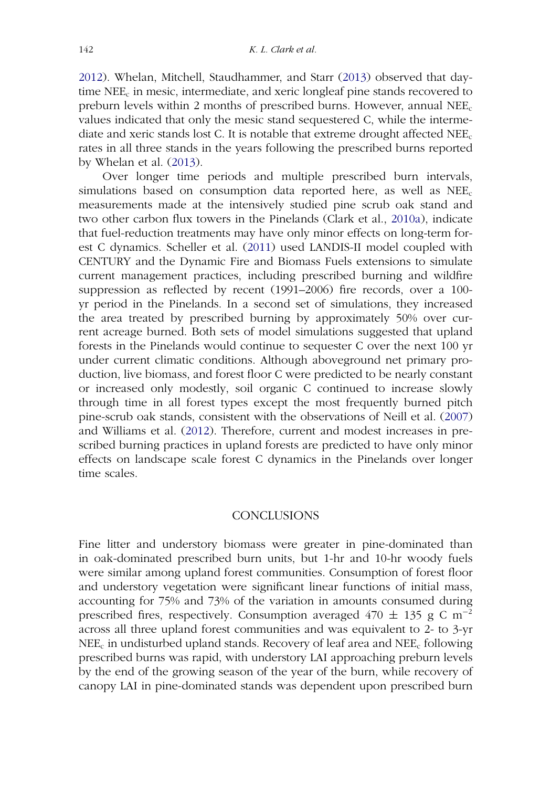[2012\)](#page-19-15). Whelan, Mitchell, Staudhammer, and Starr [\(2013\)](#page-21-11) observed that daytime NEEc in mesic, intermediate, and xeric longleaf pine stands recovered to preburn levels within 2 months of prescribed burns. However, annual  $NEE_c$ values indicated that only the mesic stand sequestered C, while the intermediate and xeric stands lost C. It is notable that extreme drought affected NEE<sub>c</sub> rates in all three stands in the years following the prescribed burns reported by Whelan et al. [\(2013\)](#page-21-11).

Over longer time periods and multiple prescribed burn intervals, simulations based on consumption data reported here, as well as  $NEE_c$ measurements made at the intensively studied pine scrub oak stand and two other carbon flux towers in the Pinelands (Clark et al., [2010a\)](#page-18-10), indicate that fuel-reduction treatments may have only minor effects on long-term forest C dynamics. Scheller et al. [\(2011\)](#page-21-2) used LANDIS-II model coupled with CENTURY and the Dynamic Fire and Biomass Fuels extensions to simulate current management practices, including prescribed burning and wildfire suppression as reflected by recent (1991–2006) fire records, over a 100 yr period in the Pinelands. In a second set of simulations, they increased the area treated by prescribed burning by approximately 50% over current acreage burned. Both sets of model simulations suggested that upland forests in the Pinelands would continue to sequester C over the next 100 yr under current climatic conditions. Although aboveground net primary production, live biomass, and forest floor C were predicted to be nearly constant or increased only modestly, soil organic C continued to increase slowly through time in all forest types except the most frequently burned pitch pine-scrub oak stands, consistent with the observations of Neill et al. [\(2007\)](#page-20-0) and Williams et al. [\(2012\)](#page-21-1). Therefore, current and modest increases in prescribed burning practices in upland forests are predicted to have only minor effects on landscape scale forest C dynamics in the Pinelands over longer time scales.

#### **CONCLUSIONS**

Fine litter and understory biomass were greater in pine-dominated than in oak-dominated prescribed burn units, but 1-hr and 10-hr woody fuels were similar among upland forest communities. Consumption of forest floor and understory vegetation were significant linear functions of initial mass, accounting for 75% and 73% of the variation in amounts consumed during prescribed fires, respectively. Consumption averaged 470  $\pm$  135 g C m<sup>-2</sup> across all three upland forest communities and was equivalent to 2- to 3-yr NEE<sub>c</sub> in undisturbed upland stands. Recovery of leaf area and NEE<sub>c</sub> following prescribed burns was rapid, with understory LAI approaching preburn levels by the end of the growing season of the year of the burn, while recovery of canopy LAI in pine-dominated stands was dependent upon prescribed burn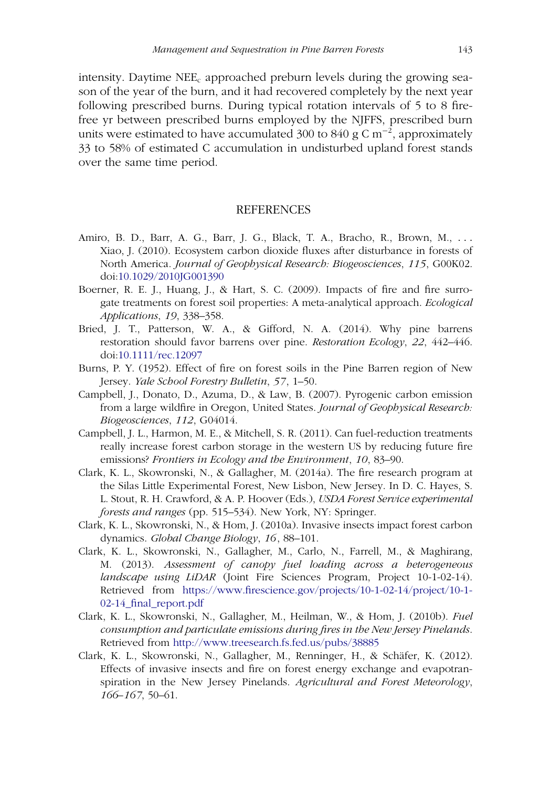intensity. Daytime  $NEE_c$  approached preburn levels during the growing season of the year of the burn, and it had recovered completely by the next year following prescribed burns. During typical rotation intervals of 5 to 8 firefree yr between prescribed burns employed by the NJFFS, prescribed burn units were estimated to have accumulated 300 to 840 g C m<sup>-2</sup>, approximately 33 to 58% of estimated C accumulation in undisturbed upland forest stands over the same time period.

#### REFERENCES

- <span id="page-18-0"></span>Amiro, B. D., Barr, A. G., Barr, J. G., Black, T. A., Bracho, R., Brown, M., *...* Xiao, J. (2010). Ecosystem carbon dioxide fluxes after disturbance in forests of North America. *Journal of Geophysical Research: Biogeosciences*, *115*, G00K02. doi[:10.1029/2010JG001390](http://dx.doi.org/10.1029/2010JG001390)
- <span id="page-18-1"></span>Boerner, R. E. J., Huang, J., & Hart, S. C. (2009). Impacts of fire and fire surrogate treatments on forest soil properties: A meta-analytical approach. *Ecological Applications*, *19*, 338–358.
- <span id="page-18-4"></span>Bried, J. T., Patterson, W. A., & Gifford, N. A. (2014). Why pine barrens restoration should favor barrens over pine. *Restoration Ecology*, *22*, 442–446. doi[:10.1111/rec.12097](http://dx.doi.org/10.1111/rec.12097)
- <span id="page-18-5"></span>Burns, P. Y. (1952). Effect of fire on forest soils in the Pine Barren region of New Jersey. *Yale School Forestry Bulletin*, *57*, 1–50.
- <span id="page-18-6"></span>Campbell, J., Donato, D., Azuma, D., & Law, B. (2007). Pyrogenic carbon emission from a large wildfire in Oregon, United States. *Journal of Geophysical Research: Biogeosciences*, *112*, G04014.
- <span id="page-18-7"></span>Campbell, J. L., Harmon, M. E., & Mitchell, S. R. (2011). Can fuel-reduction treatments really increase forest carbon storage in the western US by reducing future fire emissions? *Frontiers in Ecology and the Environment*, *10*, 83–90.
- <span id="page-18-9"></span>Clark, K. L., Skowronski, N., & Gallagher, M. (2014a). The fire research program at the Silas Little Experimental Forest, New Lisbon, New Jersey. In D. C. Hayes, S. L. Stout, R. H. Crawford, & A. P. Hoover (Eds.), *USDA Forest Service experimental forests and ranges* (pp. 515–534). New York, NY: Springer.
- <span id="page-18-10"></span>Clark, K. L., Skowronski, N., & Hom, J. (2010a). Invasive insects impact forest carbon dynamics. *Global Change Biology*, *16*, 88–101.
- <span id="page-18-3"></span>Clark, K. L., Skowronski, N., Gallagher, M., Carlo, N., Farrell, M., & Maghirang, M. (2013). *Assessment of canopy fuel loading across a heterogeneous landscape using LiDAR* (Joint Fire Sciences Program, Project 10-1-02-14). Retrieved from [https://www.firescience.gov/projects/10-1-02-14/project/10-1-](https://www.firescience.gov/projects/10-1-02-14/project/10-1-02-14_final_report.pdf) 02-14 final report.pdf
- <span id="page-18-2"></span>Clark, K. L., Skowronski, N., Gallagher, M., Heilman, W., & Hom, J. (2010b). *Fuel consumption and particulate emissions during fires in the New Jersey Pinelands*. Retrieved from <http://www.treesearch.fs.fed.us/pubs/38885>
- <span id="page-18-8"></span>Clark, K. L., Skowronski, N., Gallagher, M., Renninger, H., & Schäfer, K. (2012). Effects of invasive insects and fire on forest energy exchange and evapotranspiration in the New Jersey Pinelands. *Agricultural and Forest Meteorology*, *166–167*, 50–61.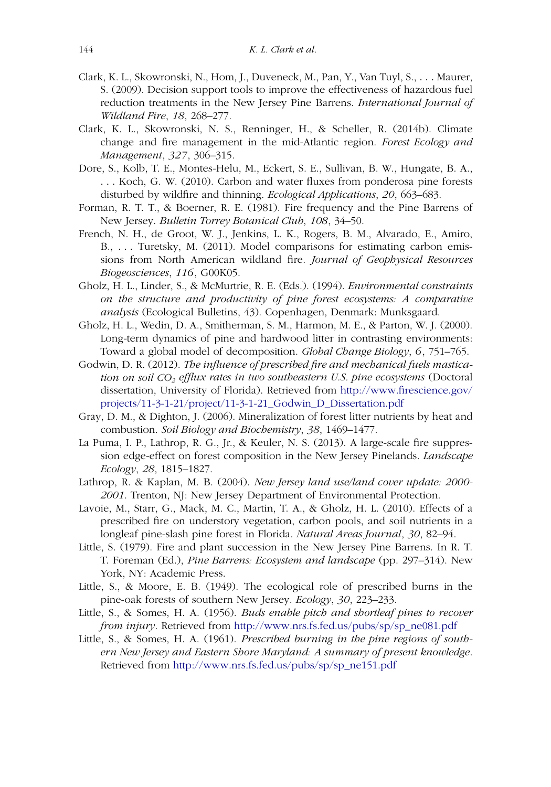- <span id="page-19-5"></span>Clark, K. L., Skowronski, N., Hom, J., Duveneck, M., Pan, Y., Van Tuyl, S., *...* Maurer, S. (2009). Decision support tools to improve the effectiveness of hazardous fuel reduction treatments in the New Jersey Pine Barrens. *International Journal of Wildland Fire*, *18*, 268–277.
- <span id="page-19-6"></span>Clark, K. L., Skowronski, N. S., Renninger, H., & Scheller, R. (2014b). Climate change and fire management in the mid-Atlantic region. *Forest Ecology and Management*, *327*, 306–315.
- <span id="page-19-3"></span>Dore, S., Kolb, T. E., Montes-Helu, M., Eckert, S. E., Sullivan, B. W., Hungate, B. A., *...* Koch, G. W. (2010). Carbon and water fluxes from ponderosa pine forests disturbed by wildfire and thinning. *Ecological Applications*, *20*, 663–683.
- <span id="page-19-9"></span>Forman, R. T. T., & Boerner, R. E. (1981). Fire frequency and the Pine Barrens of New Jersey. *Bulletin Torrey Botanical Club*, *108*, 34–50.
- <span id="page-19-4"></span>French, N. H., de Groot, W. J., Jenkins, L. K., Rogers, B. M., Alvarado, E., Amiro, B., *...* Turetsky, M. (2011). Model comparisons for estimating carbon emissions from North American wildland fire. *Journal of Geophysical Resources Biogeosciences*, *116*, G00K05.
- <span id="page-19-11"></span>Gholz, H. L., Linder, S., & McMurtrie, R. E. (Eds.). (1994). *Environmental constraints on the structure and productivity of pine forest ecosystems: A comparative analysis* (Ecological Bulletins, 43). Copenhagen, Denmark: Munksgaard.
- <span id="page-19-12"></span>Gholz, H. L., Wedin, D. A., Smitherman, S. M., Harmon, M. E., & Parton, W. J. (2000). Long-term dynamics of pine and hardwood litter in contrasting environments: Toward a global model of decomposition. *Global Change Biology*, *6*, 751–765.
- <span id="page-19-15"></span>Godwin, D. R. (2012). *The influence of prescribed fire and mechanical fuels mastication on soil CO2 efflux rates in two southeastern U.S. pine ecosystems* (Doctoral dissertation, University of Florida). Retrieved from [http://www.firescience.gov/](http://www.firescience.gov/projects/11-3-1-21/project/11-3-1-21_Godwin_D_Dissertation.pdf) [projects/11-3-1-21/project/11-3-1-21\\_Godwin\\_D\\_Dissertation.pdf](http://www.firescience.gov/projects/11-3-1-21/project/11-3-1-21_Godwin_D_Dissertation.pdf)
- <span id="page-19-0"></span>Gray, D. M., & Dighton, J. (2006). Mineralization of forest litter nutrients by heat and combustion. *Soil Biology and Biochemistry*, *38*, 1469–1477.
- <span id="page-19-2"></span>La Puma, I. P., Lathrop, R. G., Jr., & Keuler, N. S. (2013). A large-scale fire suppression edge-effect on forest composition in the New Jersey Pinelands. *Landscape Ecology*, *28*, 1815–1827.
- <span id="page-19-8"></span>Lathrop, R. & Kaplan, M. B. (2004). *New Jersey land use/land cover update: 2000- 2001*. Trenton, NJ: New Jersey Department of Environmental Protection.
- <span id="page-19-14"></span>Lavoie, M., Starr, G., Mack, M. C., Martin, T. A., & Gholz, H. L. (2010). Effects of a prescribed fire on understory vegetation, carbon pools, and soil nutrients in a longleaf pine-slash pine forest in Florida. *Natural Areas Journal*, *30*, 82–94.
- <span id="page-19-1"></span>Little, S. (1979). Fire and plant succession in the New Jersey Pine Barrens. In R. T. T. Foreman (Ed.), *Pine Barrens: Ecosystem and landscape* (pp. 297–314). New York, NY: Academic Press.
- <span id="page-19-10"></span>Little, S., & Moore, E. B. (1949). The ecological role of prescribed burns in the pine-oak forests of southern New Jersey. *Ecology*, *30*, 223–233.
- <span id="page-19-13"></span>Little, S., & Somes, H. A. (1956). *Buds enable pitch and shortleaf pines to recover from injury*. Retrieved from [http://www.nrs.fs.fed.us/pubs/sp/sp\\_ne081.pdf](http://www.nrs.fs.fed.us/pubs/sp/sp_ne081.pdf)
- <span id="page-19-7"></span>Little, S., & Somes, H. A. (1961). *Prescribed burning in the pine regions of southern New Jersey and Eastern Shore Maryland: A summary of present knowledge*. Retrieved from [http://www.nrs.fs.fed.us/pubs/sp/sp\\_ne151.pdf](http://www.nrs.fs.fed.us/pubs/sp/sp_ne151.pdf)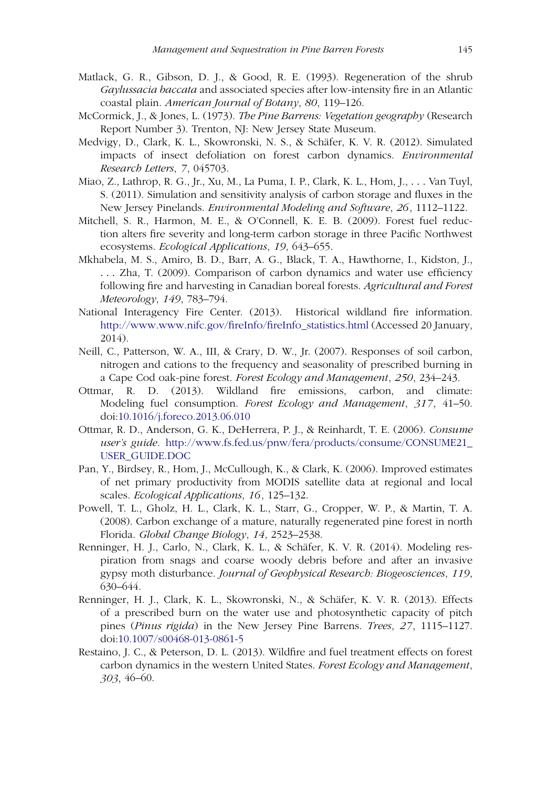- <span id="page-20-10"></span>Matlack, G. R., Gibson, D. J., & Good, R. E. (1993). Regeneration of the shrub *Gaylussacia baccata* and associated species after low-intensity fire in an Atlantic coastal plain. *American Journal of Botany*, *80*, 119–126.
- <span id="page-20-6"></span>McCormick, J., & Jones, L. (1973). *The Pine Barrens: Vegetation geography* (Research Report Number 3). Trenton, NJ: New Jersey State Museum.
- <span id="page-20-12"></span>Medvigy, D., Clark, K. L., Skowronski, N. S., & Schäfer, K. V. R. (2012). Simulated impacts of insect defoliation on forest carbon dynamics. *Environmental Research Letters*, *7*, 045703.
- <span id="page-20-9"></span>Miao, Z., Lathrop, R. G., Jr., Xu, M., La Puma, I. P., Clark, K. L., Hom, J., *...* Van Tuyl, S. (2011). Simulation and sensitivity analysis of carbon storage and fluxes in the New Jersey Pinelands. *Environmental Modeling and Software*, *26*, 1112–1122.
- <span id="page-20-1"></span>Mitchell, S. R., Harmon, M. E., & O'Connell, K. E. B. (2009). Forest fuel reduction alters fire severity and long-term carbon storage in three Pacific Northwest ecosystems. *Ecological Applications*, *19*, 643–655.
- <span id="page-20-5"></span>Mkhabela, M. S., Amiro, B. D., Barr, A. G., Black, T. A., Hawthorne, I., Kidston, J., *...* Zha, T. (2009). Comparison of carbon dynamics and water use efficiency following fire and harvesting in Canadian boreal forests. *Agricultural and Forest Meteorology*, *149*, 783–794.
- <span id="page-20-7"></span>National Interagency Fire Center. (2013). Historical wildland fire information. [http://www.www.nifc.gov/fireInfo/fireInfo\\_statistics.html](http://www.www.nifc.gov/fireInfo/fireInfo_statistics.html) (Accessed 20 January, 2014).
- <span id="page-20-0"></span>Neill, C., Patterson, W. A., III, & Crary, D. W., Jr. (2007). Responses of soil carbon, nitrogen and cations to the frequency and seasonality of prescribed burning in a Cape Cod oak-pine forest. *Forest Ecology and Management*, *250*, 234–243.
- <span id="page-20-4"></span>Ottmar, R. D. (2013). Wildland fire emissions, carbon, and climate: Modeling fuel consumption. *Forest Ecology and Management*, *317*, 41–50. doi[:10.1016/j.foreco.2013.06.010](http://dx.doi.org/10.1016/j.foreco.2013.06.010)
- <span id="page-20-3"></span>Ottmar, R. D., Anderson, G. K., DeHerrera, P. J., & Reinhardt, T. E. (2006). *Consume user's guide*. [http://www.fs.fed.us/pnw/fera/products/consume/CONSUME21\\_](http://www.fs.fed.us/pnw/fera/products/consume/CONSUME21_USER_GUIDE.DOC) [USER\\_GUIDE.DOC](http://www.fs.fed.us/pnw/fera/products/consume/CONSUME21_USER_GUIDE.DOC)
- <span id="page-20-8"></span>Pan, Y., Birdsey, R., Hom, J., McCullough, K., & Clark, K. (2006). Improved estimates of net primary productivity from MODIS satellite data at regional and local scales. *Ecological Applications*, *16*, 125–132.
- <span id="page-20-14"></span>Powell, T. L., Gholz, H. L., Clark, K. L., Starr, G., Cropper, W. P., & Martin, T. A. (2008). Carbon exchange of a mature, naturally regenerated pine forest in north Florida. *Global Change Biology*, *14*, 2523–2538.
- <span id="page-20-13"></span>Renninger, H. J., Carlo, N., Clark, K. L., & Schäfer, K. V. R. (2014). Modeling respiration from snags and coarse woody debris before and after an invasive gypsy moth disturbance. *Journal of Geophysical Research: Biogeosciences*, *119*, 630–644.
- <span id="page-20-11"></span>Renninger, H. J., Clark, K. L., Skowronski, N., & Schäfer, K. V. R. (2013). Effects of a prescribed burn on the water use and photosynthetic capacity of pitch pines (*Pinus rigida*) in the New Jersey Pine Barrens. *Trees*, *27*, 1115–1127. doi[:10.1007/s00468-013-0861-5](http://dx.doi.org/10.1007/s00468-013-0861-5)
- <span id="page-20-2"></span>Restaino, J. C., & Peterson, D. L. (2013). Wildfire and fuel treatment effects on forest carbon dynamics in the western United States. *Forest Ecology and Management*, *303*, 46–60.